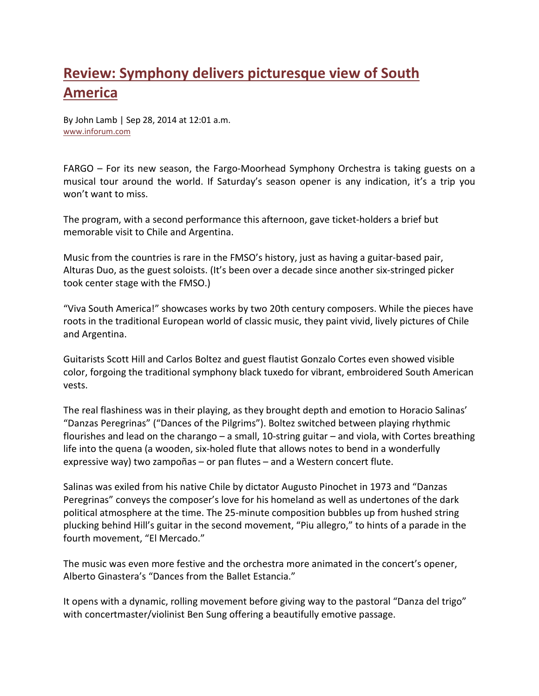## **Review: Symphony [delivers picturesque view of South](http://www.inforum.com/content/review-symphony-delivers-picturesque-view-south-america)  [America](http://www.inforum.com/content/review-symphony-delivers-picturesque-view-south-america)**

By John Lamb | Sep 28, 2014 at 12:01 a.m. [www.inforum.com](http://www.inforum.com/)

FARGO – For its new season, the Fargo-Moorhead Symphony Orchestra is taking guests on a musical tour around the world. If Saturday's season opener is any indication, it's a trip you won't want to miss.

The program, with a second performance this afternoon, gave ticket-holders a brief but memorable visit to Chile and Argentina.

Music from the countries is rare in the FMSO's history, just as having a guitar-based pair, Alturas Duo, as the guest soloists. (It's been over a decade since another six-stringed picker took center stage with the FMSO.)

"Viva South America!" showcases works by two 20th century composers. While the pieces have roots in the traditional European world of classic music, they paint vivid, lively pictures of Chile and Argentina.

Guitarists Scott Hill and Carlos Boltez and guest flautist Gonzalo Cortes even showed visible color, forgoing the traditional symphony black tuxedo for vibrant, embroidered South American vests.

The real flashiness was in their playing, as they brought depth and emotion to Horacio Salinas' "Danzas Peregrinas" ("Dances of the Pilgrims"). Boltez switched between playing rhythmic flourishes and lead on the charango – a small, 10-string guitar – and viola, with Cortes breathing life into the quena (a wooden, six-holed flute that allows notes to bend in a wonderfully expressive way) two zampoñas – or pan flutes – and a Western concert flute.

Salinas was exiled from his native Chile by dictator Augusto Pinochet in 1973 and "Danzas Peregrinas" conveys the composer's love for his homeland as well as undertones of the dark political atmosphere at the time. The 25-minute composition bubbles up from hushed string plucking behind Hill's guitar in the second movement, "Piu allegro," to hints of a parade in the fourth movement, "El Mercado."

The music was even more festive and the orchestra more animated in the concert's opener, Alberto Ginastera's "Dances from the Ballet Estancia."

It opens with a dynamic, rolling movement before giving way to the pastoral "Danza del trigo" with concertmaster/violinist Ben Sung offering a beautifully emotive passage.